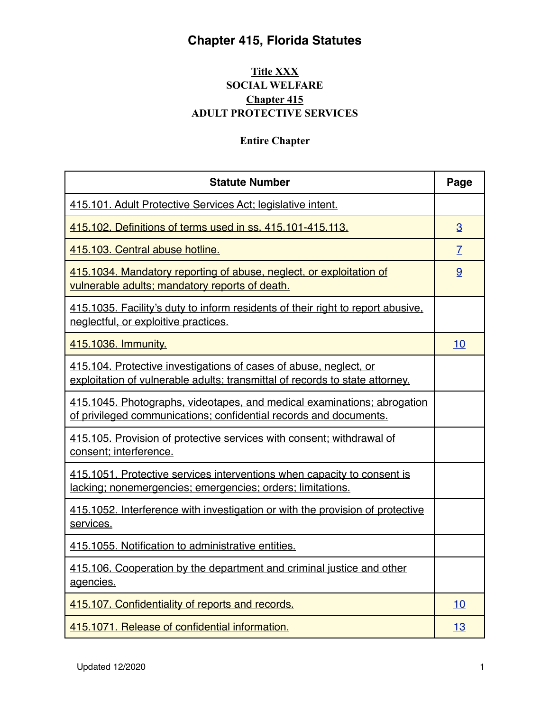#### **[Title XXX](http://www.leg.state.fl.us/statutes/index.cfm?App_mode=Display_Index&Title_Request=XXX#TitleXXX) SOCIAL WELFARE [Chapter 415](http://www.leg.state.fl.us/statutes/index.cfm?App_mode=Display_Statute&URL=0400-0499/0415/0415ContentsIndex.html)  ADULT PROTECTIVE SERVICES**

#### **Entire Chapter**

| <b>Statute Number</b>                                                                                                                             | Page           |
|---------------------------------------------------------------------------------------------------------------------------------------------------|----------------|
| 415.101. Adult Protective Services Act; legislative intent.                                                                                       |                |
| 415.102. Definitions of terms used in ss. 415.101-415.113.                                                                                        | 3              |
| 415.103. Central abuse hotline.                                                                                                                   | $\overline{I}$ |
| 415.1034. Mandatory reporting of abuse, neglect, or exploitation of<br>vulnerable adults; mandatory reports of death.                             | 9              |
| 415.1035. Facility's duty to inform residents of their right to report abusive,<br>neglectful, or exploitive practices.                           |                |
| 415.1036. Immunity.                                                                                                                               | 10             |
| 415.104. Protective investigations of cases of abuse, neglect, or<br>exploitation of vulnerable adults; transmittal of records to state attorney. |                |
| 415.1045. Photographs, videotapes, and medical examinations; abrogation<br>of privileged communications; confidential records and documents.      |                |
| 415.105. Provision of protective services with consent; withdrawal of<br>consent; interference.                                                   |                |
| 415.1051. Protective services interventions when capacity to consent is<br>lacking; nonemergencies; emergencies; orders; limitations.             |                |
| 415.1052. Interference with investigation or with the provision of protective<br>services.                                                        |                |
| 415.1055. Notification to administrative entities.                                                                                                |                |
| 415.106. Cooperation by the department and criminal justice and other<br>agencies.                                                                |                |
| 415.107. Confidentiality of reports and records.                                                                                                  | 10             |
| 415.1071. Release of confidential information.                                                                                                    | 13             |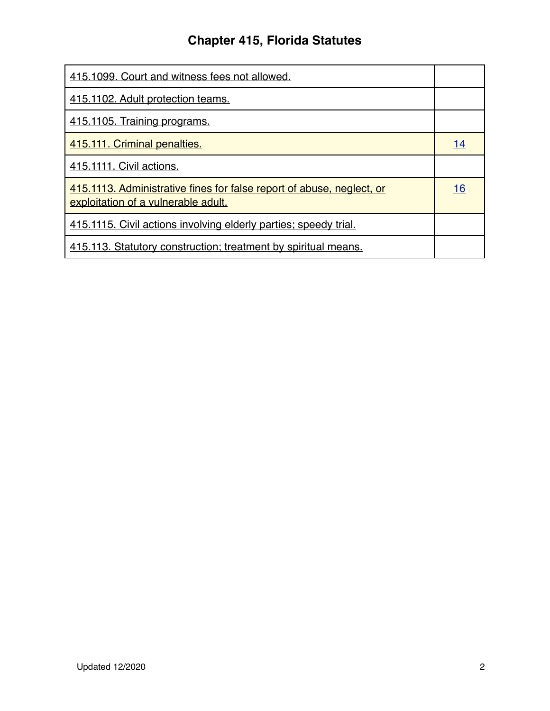| 415.1099. Court and witness fees not allowed.                                                                |           |
|--------------------------------------------------------------------------------------------------------------|-----------|
| 415.1102. Adult protection teams.                                                                            |           |
| 415.1105. Training programs.                                                                                 |           |
| 415.111. Criminal penalties.                                                                                 | <u>14</u> |
| 415.1111. Civil actions.                                                                                     |           |
| 415.1113. Administrative fines for false report of abuse, neglect, or<br>exploitation of a vulnerable adult. | 16        |
| 415.1115. Civil actions involving elderly parties; speedy trial.                                             |           |
| 415.113. Statutory construction; treatment by spiritual means.                                               |           |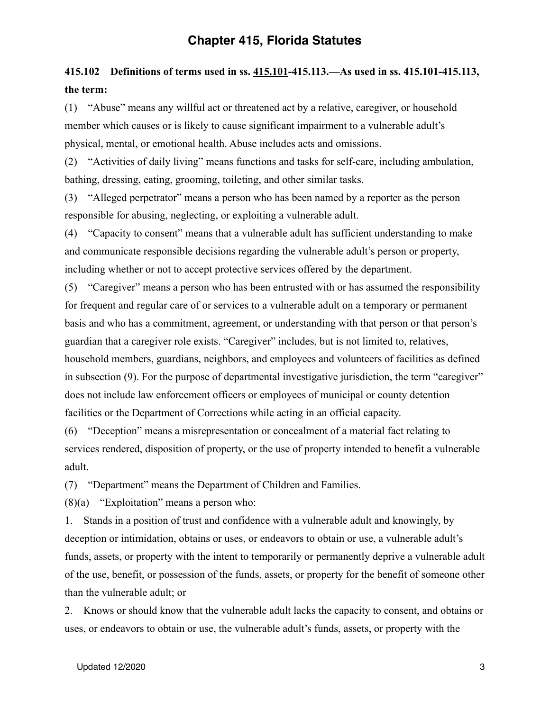# <span id="page-2-0"></span>**415.102 Definitions of terms used in ss. [415.101](http://www.leg.state.fl.us/statutes/index.cfm?App_mode=Display_Statute&Search_String=&URL=0400-0499/0415/Sections/0415.101.html)[-415.113](http://www.leg.state.fl.us/statutes/index.cfm?App_mode=Display_Statute&Search_String=&URL=0400-0499/0415/Sections/0415.113.html).—As used in ss. [415.101](http://www.leg.state.fl.us/statutes/index.cfm?App_mode=Display_Statute&Search_String=&URL=0400-0499/0415/Sections/0415.101.html)[-415.113,](http://www.leg.state.fl.us/statutes/index.cfm?App_mode=Display_Statute&Search_String=&URL=0400-0499/0415/Sections/0415.113.html) the term:**

(1) "Abuse" means any willful act or threatened act by a relative, caregiver, or household member which causes or is likely to cause significant impairment to a vulnerable adult's physical, mental, or emotional health. Abuse includes acts and omissions.

(2) "Activities of daily living" means functions and tasks for self-care, including ambulation, bathing, dressing, eating, grooming, toileting, and other similar tasks.

(3) "Alleged perpetrator" means a person who has been named by a reporter as the person responsible for abusing, neglecting, or exploiting a vulnerable adult.

(4) "Capacity to consent" means that a vulnerable adult has sufficient understanding to make and communicate responsible decisions regarding the vulnerable adult's person or property, including whether or not to accept protective services offered by the department.

(5) "Caregiver" means a person who has been entrusted with or has assumed the responsibility for frequent and regular care of or services to a vulnerable adult on a temporary or permanent basis and who has a commitment, agreement, or understanding with that person or that person's guardian that a caregiver role exists. "Caregiver" includes, but is not limited to, relatives, household members, guardians, neighbors, and employees and volunteers of facilities as defined in subsection (9). For the purpose of departmental investigative jurisdiction, the term "caregiver" does not include law enforcement officers or employees of municipal or county detention facilities or the Department of Corrections while acting in an official capacity.

(6) "Deception" means a misrepresentation or concealment of a material fact relating to services rendered, disposition of property, or the use of property intended to benefit a vulnerable adult.

(7) "Department" means the Department of Children and Families.

 $(8)(a)$  "Exploitation" means a person who:

1. Stands in a position of trust and confidence with a vulnerable adult and knowingly, by deception or intimidation, obtains or uses, or endeavors to obtain or use, a vulnerable adult's funds, assets, or property with the intent to temporarily or permanently deprive a vulnerable adult of the use, benefit, or possession of the funds, assets, or property for the benefit of someone other than the vulnerable adult; or

2. Knows or should know that the vulnerable adult lacks the capacity to consent, and obtains or uses, or endeavors to obtain or use, the vulnerable adult's funds, assets, or property with the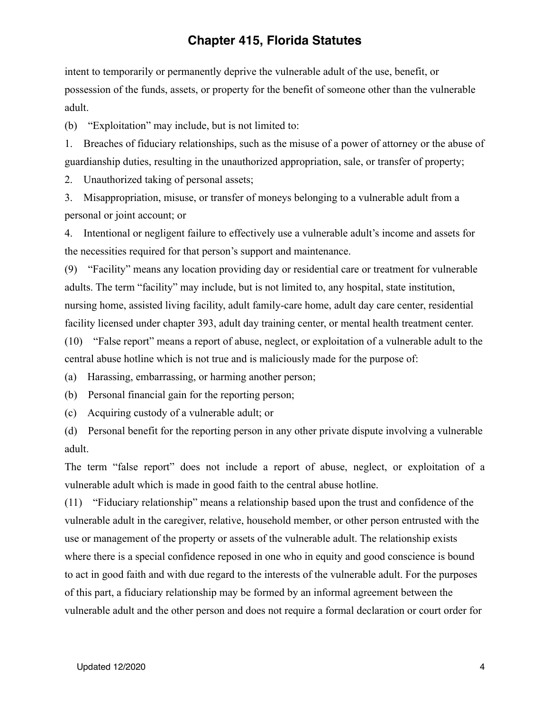intent to temporarily or permanently deprive the vulnerable adult of the use, benefit, or possession of the funds, assets, or property for the benefit of someone other than the vulnerable adult.

(b) "Exploitation" may include, but is not limited to:

1. Breaches of fiduciary relationships, such as the misuse of a power of attorney or the abuse of guardianship duties, resulting in the unauthorized appropriation, sale, or transfer of property;

2. Unauthorized taking of personal assets;

3. Misappropriation, misuse, or transfer of moneys belonging to a vulnerable adult from a personal or joint account; or

4. Intentional or negligent failure to effectively use a vulnerable adult's income and assets for the necessities required for that person's support and maintenance.

(9) "Facility" means any location providing day or residential care or treatment for vulnerable adults. The term "facility" may include, but is not limited to, any hospital, state institution, nursing home, assisted living facility, adult family-care home, adult day care center, residential facility licensed under chapter 393, adult day training center, or mental health treatment center.

(10) "False report" means a report of abuse, neglect, or exploitation of a vulnerable adult to the central abuse hotline which is not true and is maliciously made for the purpose of:

(a) Harassing, embarrassing, or harming another person;

(b) Personal financial gain for the reporting person;

(c) Acquiring custody of a vulnerable adult; or

(d) Personal benefit for the reporting person in any other private dispute involving a vulnerable adult.

The term "false report" does not include a report of abuse, neglect, or exploitation of a vulnerable adult which is made in good faith to the central abuse hotline.

(11) "Fiduciary relationship" means a relationship based upon the trust and confidence of the vulnerable adult in the caregiver, relative, household member, or other person entrusted with the use or management of the property or assets of the vulnerable adult. The relationship exists where there is a special confidence reposed in one who in equity and good conscience is bound to act in good faith and with due regard to the interests of the vulnerable adult. For the purposes of this part, a fiduciary relationship may be formed by an informal agreement between the vulnerable adult and the other person and does not require a formal declaration or court order for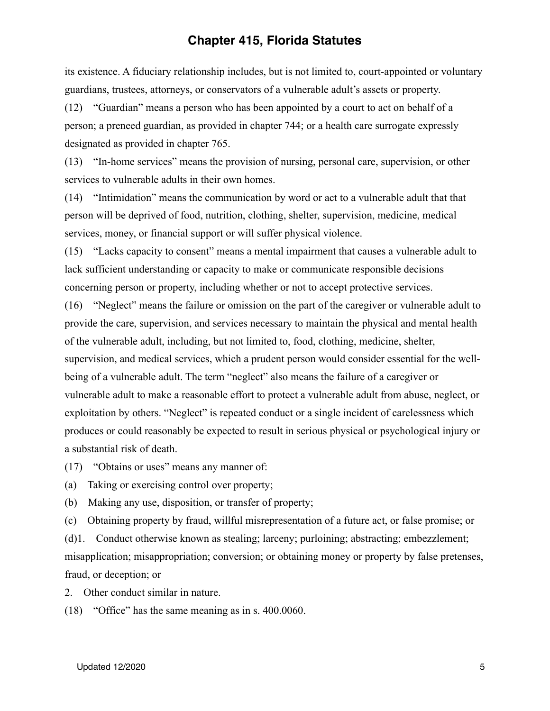its existence. A fiduciary relationship includes, but is not limited to, court-appointed or voluntary guardians, trustees, attorneys, or conservators of a vulnerable adult's assets or property.

(12) "Guardian" means a person who has been appointed by a court to act on behalf of a person; a preneed guardian, as provided in chapter 744; or a health care surrogate expressly designated as provided in chapter 765.

(13) "In-home services" means the provision of nursing, personal care, supervision, or other services to vulnerable adults in their own homes.

(14) "Intimidation" means the communication by word or act to a vulnerable adult that that person will be deprived of food, nutrition, clothing, shelter, supervision, medicine, medical services, money, or financial support or will suffer physical violence.

(15) "Lacks capacity to consent" means a mental impairment that causes a vulnerable adult to lack sufficient understanding or capacity to make or communicate responsible decisions concerning person or property, including whether or not to accept protective services.

(16) "Neglect" means the failure or omission on the part of the caregiver or vulnerable adult to provide the care, supervision, and services necessary to maintain the physical and mental health of the vulnerable adult, including, but not limited to, food, clothing, medicine, shelter, supervision, and medical services, which a prudent person would consider essential for the wellbeing of a vulnerable adult. The term "neglect" also means the failure of a caregiver or vulnerable adult to make a reasonable effort to protect a vulnerable adult from abuse, neglect, or exploitation by others. "Neglect" is repeated conduct or a single incident of carelessness which produces or could reasonably be expected to result in serious physical or psychological injury or a substantial risk of death.

(17) "Obtains or uses" means any manner of:

(a) Taking or exercising control over property;

(b) Making any use, disposition, or transfer of property;

(c) Obtaining property by fraud, willful misrepresentation of a future act, or false promise; or

(d)1. Conduct otherwise known as stealing; larceny; purloining; abstracting; embezzlement; misapplication; misappropriation; conversion; or obtaining money or property by false pretenses, fraud, or deception; or

2. Other conduct similar in nature.

(18) "Office" has the same meaning as in s. [400.0060.](http://www.leg.state.fl.us/statutes/index.cfm?App_mode=Display_Statute&Search_String=&URL=0400-0499/0400/Sections/0400.0060.html)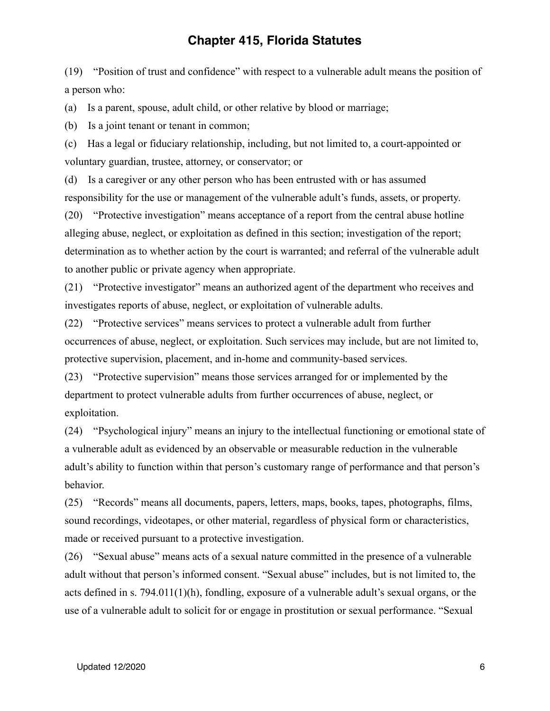(19) "Position of trust and confidence" with respect to a vulnerable adult means the position of a person who:

(a) Is a parent, spouse, adult child, or other relative by blood or marriage;

(b) Is a joint tenant or tenant in common;

(c) Has a legal or fiduciary relationship, including, but not limited to, a court-appointed or voluntary guardian, trustee, attorney, or conservator; or

(d) Is a caregiver or any other person who has been entrusted with or has assumed responsibility for the use or management of the vulnerable adult's funds, assets, or property.

(20) "Protective investigation" means acceptance of a report from the central abuse hotline alleging abuse, neglect, or exploitation as defined in this section; investigation of the report; determination as to whether action by the court is warranted; and referral of the vulnerable adult to another public or private agency when appropriate.

(21) "Protective investigator" means an authorized agent of the department who receives and investigates reports of abuse, neglect, or exploitation of vulnerable adults.

(22) "Protective services" means services to protect a vulnerable adult from further occurrences of abuse, neglect, or exploitation. Such services may include, but are not limited to, protective supervision, placement, and in-home and community-based services.

(23) "Protective supervision" means those services arranged for or implemented by the department to protect vulnerable adults from further occurrences of abuse, neglect, or exploitation.

(24) "Psychological injury" means an injury to the intellectual functioning or emotional state of a vulnerable adult as evidenced by an observable or measurable reduction in the vulnerable adult's ability to function within that person's customary range of performance and that person's behavior.

(25) "Records" means all documents, papers, letters, maps, books, tapes, photographs, films, sound recordings, videotapes, or other material, regardless of physical form or characteristics, made or received pursuant to a protective investigation.

(26) "Sexual abuse" means acts of a sexual nature committed in the presence of a vulnerable adult without that person's informed consent. "Sexual abuse" includes, but is not limited to, the acts defined in s. [794.011](http://www.leg.state.fl.us/statutes/index.cfm?App_mode=Display_Statute&Search_String=&URL=0700-0799/0794/Sections/0794.011.html)(1)(h), fondling, exposure of a vulnerable adult's sexual organs, or the use of a vulnerable adult to solicit for or engage in prostitution or sexual performance. "Sexual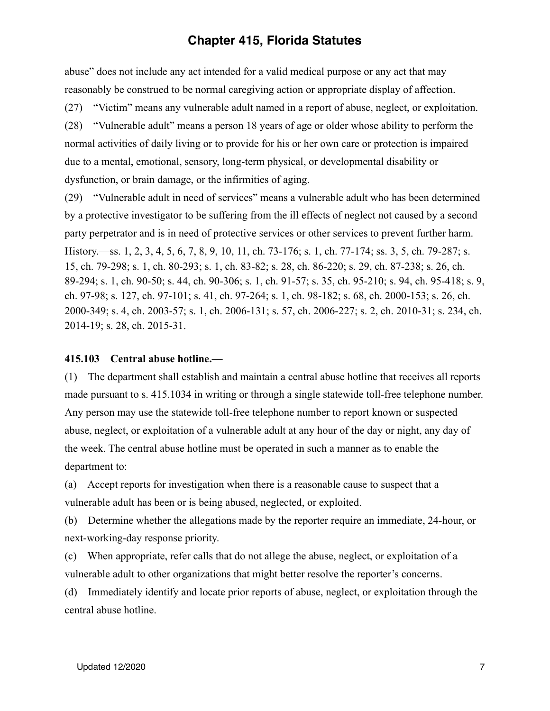abuse" does not include any act intended for a valid medical purpose or any act that may reasonably be construed to be normal caregiving action or appropriate display of affection.

(27) "Victim" means any vulnerable adult named in a report of abuse, neglect, or exploitation.

(28) "Vulnerable adult" means a person 18 years of age or older whose ability to perform the normal activities of daily living or to provide for his or her own care or protection is impaired due to a mental, emotional, sensory, long-term physical, or developmental disability or dysfunction, or brain damage, or the infirmities of aging.

(29) "Vulnerable adult in need of services" means a vulnerable adult who has been determined by a protective investigator to be suffering from the ill effects of neglect not caused by a second party perpetrator and is in need of protective services or other services to prevent further harm. History.—ss. 1, 2, 3, 4, 5, 6, 7, 8, 9, 10, 11, ch. 73-176; s. 1, ch. 77-174; ss. 3, 5, ch. 79-287; s. 15, ch. 79-298; s. 1, ch. 80-293; s. 1, ch. 83-82; s. 28, ch. 86-220; s. 29, ch. 87-238; s. 26, ch. 89-294; s. 1, ch. 90-50; s. 44, ch. 90-306; s. 1, ch. 91-57; s. 35, ch. 95-210; s. 94, ch. 95-418; s. 9, ch. 97-98; s. 127, ch. 97-101; s. 41, ch. 97-264; s. 1, ch. 98-182; s. 68, ch. 2000-153; s. 26, ch. 2000-349; s. 4, ch. 2003-57; s. 1, ch. 2006-131; s. 57, ch. 2006-227; s. 2, ch. 2010-31; s. 234, ch. 2014-19; s. 28, ch. 2015-31.

#### <span id="page-6-0"></span>**415.103 Central abuse hotline.—**

(1) The department shall establish and maintain a central abuse hotline that receives all reports made pursuant to s. [415.1034](http://www.leg.state.fl.us/statutes/index.cfm?App_mode=Display_Statute&Search_String=&URL=0400-0499/0415/Sections/0415.1034.html) in writing or through a single statewide toll-free telephone number. Any person may use the statewide toll-free telephone number to report known or suspected abuse, neglect, or exploitation of a vulnerable adult at any hour of the day or night, any day of the week. The central abuse hotline must be operated in such a manner as to enable the department to:

(a) Accept reports for investigation when there is a reasonable cause to suspect that a vulnerable adult has been or is being abused, neglected, or exploited.

(b) Determine whether the allegations made by the reporter require an immediate, 24-hour, or next-working-day response priority.

(c) When appropriate, refer calls that do not allege the abuse, neglect, or exploitation of a vulnerable adult to other organizations that might better resolve the reporter's concerns.

(d) Immediately identify and locate prior reports of abuse, neglect, or exploitation through the central abuse hotline.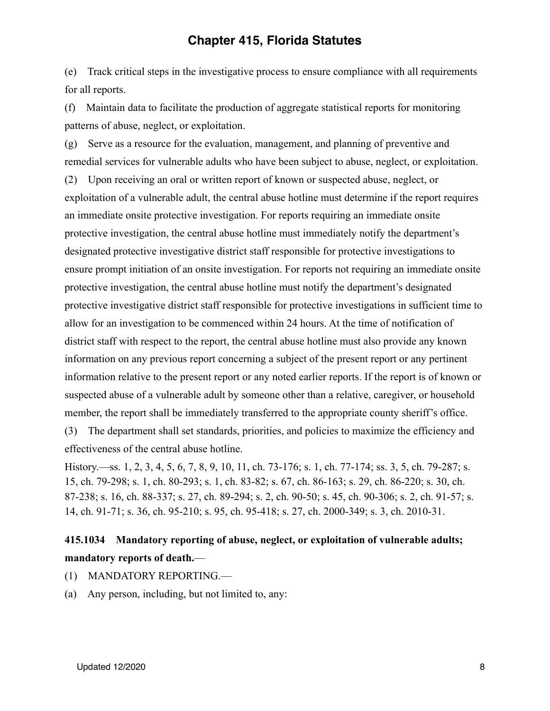(e) Track critical steps in the investigative process to ensure compliance with all requirements for all reports.

(f) Maintain data to facilitate the production of aggregate statistical reports for monitoring patterns of abuse, neglect, or exploitation.

(g) Serve as a resource for the evaluation, management, and planning of preventive and remedial services for vulnerable adults who have been subject to abuse, neglect, or exploitation. (2) Upon receiving an oral or written report of known or suspected abuse, neglect, or exploitation of a vulnerable adult, the central abuse hotline must determine if the report requires an immediate onsite protective investigation. For reports requiring an immediate onsite protective investigation, the central abuse hotline must immediately notify the department's designated protective investigative district staff responsible for protective investigations to ensure prompt initiation of an onsite investigation. For reports not requiring an immediate onsite protective investigation, the central abuse hotline must notify the department's designated protective investigative district staff responsible for protective investigations in sufficient time to allow for an investigation to be commenced within 24 hours. At the time of notification of district staff with respect to the report, the central abuse hotline must also provide any known information on any previous report concerning a subject of the present report or any pertinent information relative to the present report or any noted earlier reports. If the report is of known or suspected abuse of a vulnerable adult by someone other than a relative, caregiver, or household member, the report shall be immediately transferred to the appropriate county sheriff's office. (3) The department shall set standards, priorities, and policies to maximize the efficiency and

effectiveness of the central abuse hotline.

History.—ss. 1, 2, 3, 4, 5, 6, 7, 8, 9, 10, 11, ch. 73-176; s. 1, ch. 77-174; ss. 3, 5, ch. 79-287; s. 15, ch. 79-298; s. 1, ch. 80-293; s. 1, ch. 83-82; s. 67, ch. 86-163; s. 29, ch. 86-220; s. 30, ch. 87-238; s. 16, ch. 88-337; s. 27, ch. 89-294; s. 2, ch. 90-50; s. 45, ch. 90-306; s. 2, ch. 91-57; s. 14, ch. 91-71; s. 36, ch. 95-210; s. 95, ch. 95-418; s. 27, ch. 2000-349; s. 3, ch. 2010-31.

# **415.1034 Mandatory reporting of abuse, neglect, or exploitation of vulnerable adults; mandatory reports of death.**—

- (1) MANDATORY REPORTING.—
- (a) Any person, including, but not limited to, any: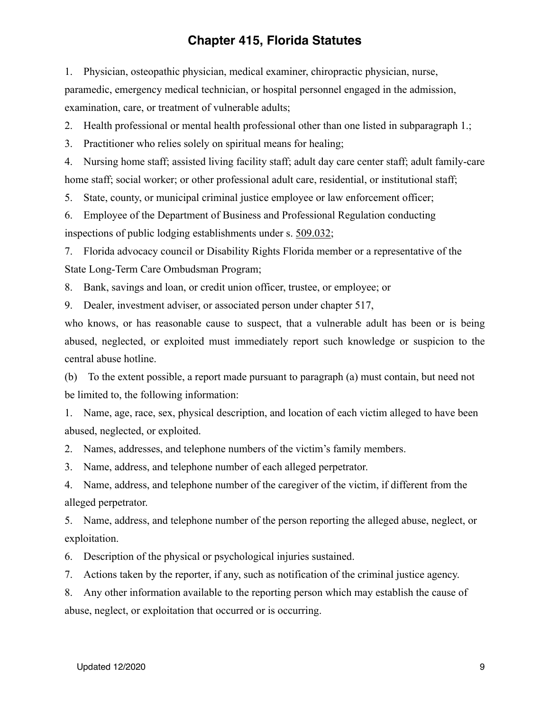1. Physician, osteopathic physician, medical examiner, chiropractic physician, nurse, paramedic, emergency medical technician, or hospital personnel engaged in the admission, examination, care, or treatment of vulnerable adults;

2. Health professional or mental health professional other than one listed in subparagraph 1.;

3. Practitioner who relies solely on spiritual means for healing;

4. Nursing home staff; assisted living facility staff; adult day care center staff; adult family-care home staff; social worker; or other professional adult care, residential, or institutional staff;

5. State, county, or municipal criminal justice employee or law enforcement officer;

6. Employee of the Department of Business and Professional Regulation conducting inspections of public lodging establishments under s. [509.032](http://www.leg.state.fl.us/statutes/index.cfm?App_mode=Display_Statute&Search_String=&URL=0500-0599/0509/Sections/0509.032.html);

7. Florida advocacy council or Disability Rights Florida member or a representative of the State Long-Term Care Ombudsman Program;

8. Bank, savings and loan, or credit union officer, trustee, or employee; or

9. Dealer, investment adviser, or associated person under chapter 517,

who knows, or has reasonable cause to suspect, that a vulnerable adult has been or is being abused, neglected, or exploited must immediately report such knowledge or suspicion to the central abuse hotline.

(b) To the extent possible, a report made pursuant to paragraph (a) must contain, but need not be limited to, the following information:

1. Name, age, race, sex, physical description, and location of each victim alleged to have been abused, neglected, or exploited.

2. Names, addresses, and telephone numbers of the victim's family members.

3. Name, address, and telephone number of each alleged perpetrator.

4. Name, address, and telephone number of the caregiver of the victim, if different from the alleged perpetrator.

5. Name, address, and telephone number of the person reporting the alleged abuse, neglect, or exploitation.

6. Description of the physical or psychological injuries sustained.

7. Actions taken by the reporter, if any, such as notification of the criminal justice agency.

8. Any other information available to the reporting person which may establish the cause of abuse, neglect, or exploitation that occurred or is occurring.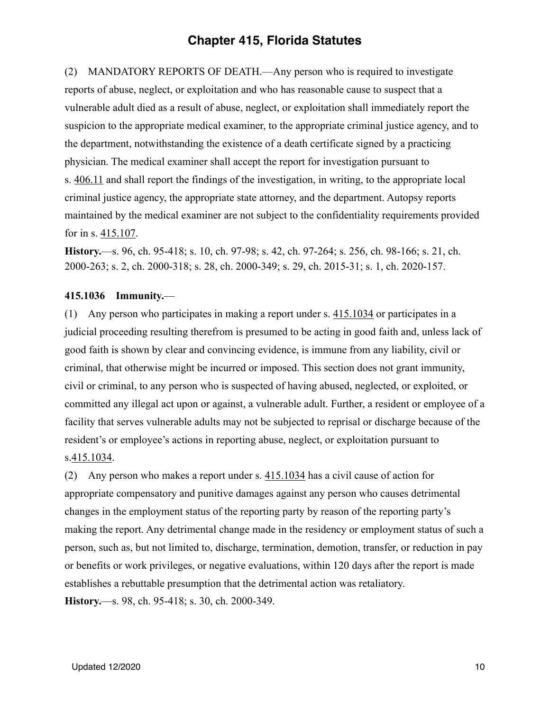(2) MANDATORY REPORTS OF DEATH.—Any person who is required to investigate reports of abuse, neglect, or exploitation and who has reasonable cause to suspect that a vulnerable adult died as a result of abuse, neglect, or exploitation shall immediately report the suspicion to the appropriate medical examiner, to the appropriate criminal justice agency, and to the department, notwithstanding the existence of a death certificate signed by a practicing physician. The medical examiner shall accept the report for investigation pursuant to s. [406.11](http://www.leg.state.fl.us/statutes/index.cfm?App_mode=Display_Statute&Search_String=&URL=0400-0499/0406/Sections/0406.11.html) and shall report the findings of the investigation, in writing, to the appropriate local criminal justice agency, the appropriate state attorney, and the department. Autopsy reports maintained by the medical examiner are not subject to the confidentiality requirements provided for in s. [415.107.](http://www.leg.state.fl.us/statutes/index.cfm?App_mode=Display_Statute&Search_String=&URL=0400-0499/0415/Sections/0415.107.html)

**History.**—s. 96, ch. 95-418; s. 10, ch. 97-98; s. 42, ch. 97-264; s. 256, ch. 98-166; s. 21, ch. 2000-263; s. 2, ch. 2000-318; s. 28, ch. 2000-349; s. 29, ch. 2015-31; s. 1, ch. 2020-157.

#### <span id="page-9-0"></span>**415.1036 Immunity.**—

(1) Any person who participates in making a report under s. [415.1034](http://www.leg.state.fl.us/statutes/index.cfm?App_mode=Display_Statute&Search_String=&URL=0400-0499/0415/Sections/0415.1034.html) or participates in a judicial proceeding resulting therefrom is presumed to be acting in good faith and, unless lack of good faith is shown by clear and convincing evidence, is immune from any liability, civil or criminal, that otherwise might be incurred or imposed. This section does not grant immunity, civil or criminal, to any person who is suspected of having abused, neglected, or exploited, or committed any illegal act upon or against, a vulnerable adult. Further, a resident or employee of a facility that serves vulnerable adults may not be subjected to reprisal or discharge because of the resident's or employee's actions in reporting abuse, neglect, or exploitation pursuant to s.[415.1034.](http://www.leg.state.fl.us/statutes/index.cfm?App_mode=Display_Statute&Search_String=&URL=0400-0499/0415/Sections/0415.1034.html)

(2) Any person who makes a report under s. [415.1034](http://www.leg.state.fl.us/statutes/index.cfm?App_mode=Display_Statute&Search_String=&URL=0400-0499/0415/Sections/0415.1034.html) has a civil cause of action for appropriate compensatory and punitive damages against any person who causes detrimental changes in the employment status of the reporting party by reason of the reporting party's making the report. Any detrimental change made in the residency or employment status of such a person, such as, but not limited to, discharge, termination, demotion, transfer, or reduction in pay or benefits or work privileges, or negative evaluations, within 120 days after the report is made establishes a rebuttable presumption that the detrimental action was retaliatory. **History.**—s. 98, ch. 95-418; s. 30, ch. 2000-349.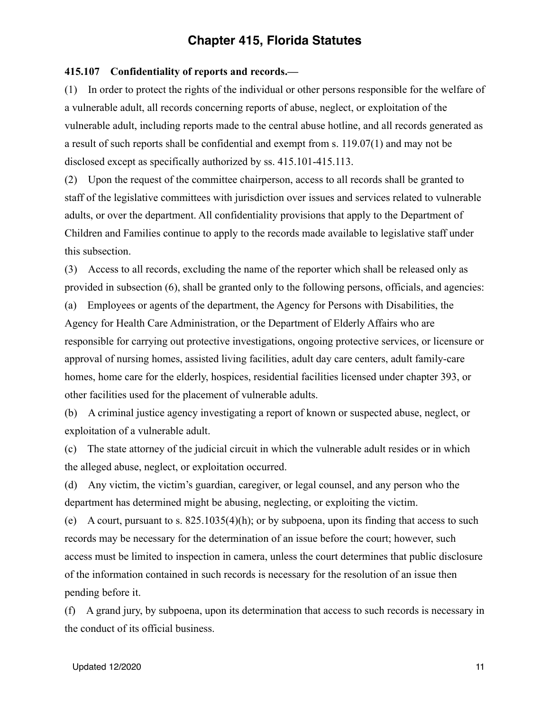#### <span id="page-10-0"></span>**415.107 Confidentiality of reports and records.—**

(1) In order to protect the rights of the individual or other persons responsible for the welfare of a vulnerable adult, all records concerning reports of abuse, neglect, or exploitation of the vulnerable adult, including reports made to the central abuse hotline, and all records generated as a result of such reports shall be confidential and exempt from s. [119.07\(](http://www.leg.state.fl.us/statutes/index.cfm?App_mode=Display_Statute&Search_String=&URL=0100-0199/0119/Sections/0119.07.html)1) and may not be disclosed except as specifically authorized by ss. [415.101](http://www.leg.state.fl.us/statutes/index.cfm?App_mode=Display_Statute&Search_String=&URL=0400-0499/0415/Sections/0415.101.html)[-415.113.](http://www.leg.state.fl.us/statutes/index.cfm?App_mode=Display_Statute&Search_String=&URL=0400-0499/0415/Sections/0415.113.html)

(2) Upon the request of the committee chairperson, access to all records shall be granted to staff of the legislative committees with jurisdiction over issues and services related to vulnerable adults, or over the department. All confidentiality provisions that apply to the Department of Children and Families continue to apply to the records made available to legislative staff under this subsection.

(3) Access to all records, excluding the name of the reporter which shall be released only as provided in subsection (6), shall be granted only to the following persons, officials, and agencies: (a) Employees or agents of the department, the Agency for Persons with Disabilities, the Agency for Health Care Administration, or the Department of Elderly Affairs who are responsible for carrying out protective investigations, ongoing protective services, or licensure or approval of nursing homes, assisted living facilities, adult day care centers, adult family-care homes, home care for the elderly, hospices, residential facilities licensed under chapter 393, or other facilities used for the placement of vulnerable adults.

(b) A criminal justice agency investigating a report of known or suspected abuse, neglect, or exploitation of a vulnerable adult.

(c) The state attorney of the judicial circuit in which the vulnerable adult resides or in which the alleged abuse, neglect, or exploitation occurred.

(d) Any victim, the victim's guardian, caregiver, or legal counsel, and any person who the department has determined might be abusing, neglecting, or exploiting the victim.

(e) A court, pursuant to s. [825.1035](http://www.leg.state.fl.us/statutes/index.cfm?App_mode=Display_Statute&Search_String=&URL=0800-0899/0825/Sections/0825.1035.html)(4)(h); or by subpoena, upon its finding that access to such records may be necessary for the determination of an issue before the court; however, such access must be limited to inspection in camera, unless the court determines that public disclosure of the information contained in such records is necessary for the resolution of an issue then pending before it.

(f) A grand jury, by subpoena, upon its determination that access to such records is necessary in the conduct of its official business.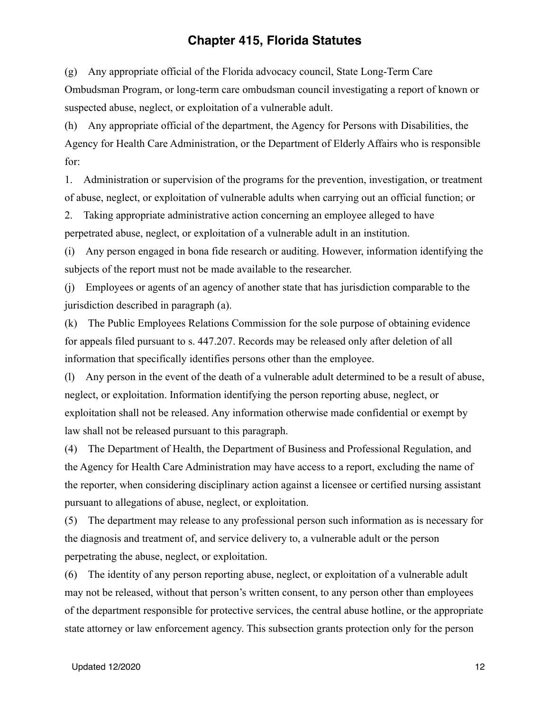(g) Any appropriate official of the Florida advocacy council, State Long-Term Care Ombudsman Program, or long-term care ombudsman council investigating a report of known or suspected abuse, neglect, or exploitation of a vulnerable adult.

(h) Any appropriate official of the department, the Agency for Persons with Disabilities, the Agency for Health Care Administration, or the Department of Elderly Affairs who is responsible for:

1. Administration or supervision of the programs for the prevention, investigation, or treatment of abuse, neglect, or exploitation of vulnerable adults when carrying out an official function; or

2. Taking appropriate administrative action concerning an employee alleged to have perpetrated abuse, neglect, or exploitation of a vulnerable adult in an institution.

(i) Any person engaged in bona fide research or auditing. However, information identifying the subjects of the report must not be made available to the researcher.

(j) Employees or agents of an agency of another state that has jurisdiction comparable to the jurisdiction described in paragraph (a).

(k) The Public Employees Relations Commission for the sole purpose of obtaining evidence for appeals filed pursuant to s. [447.207](http://www.leg.state.fl.us/statutes/index.cfm?App_mode=Display_Statute&Search_String=&URL=0400-0499/0447/Sections/0447.207.html). Records may be released only after deletion of all information that specifically identifies persons other than the employee.

(l) Any person in the event of the death of a vulnerable adult determined to be a result of abuse, neglect, or exploitation. Information identifying the person reporting abuse, neglect, or exploitation shall not be released. Any information otherwise made confidential or exempt by law shall not be released pursuant to this paragraph.

(4) The Department of Health, the Department of Business and Professional Regulation, and the Agency for Health Care Administration may have access to a report, excluding the name of the reporter, when considering disciplinary action against a licensee or certified nursing assistant pursuant to allegations of abuse, neglect, or exploitation.

(5) The department may release to any professional person such information as is necessary for the diagnosis and treatment of, and service delivery to, a vulnerable adult or the person perpetrating the abuse, neglect, or exploitation.

(6) The identity of any person reporting abuse, neglect, or exploitation of a vulnerable adult may not be released, without that person's written consent, to any person other than employees of the department responsible for protective services, the central abuse hotline, or the appropriate state attorney or law enforcement agency. This subsection grants protection only for the person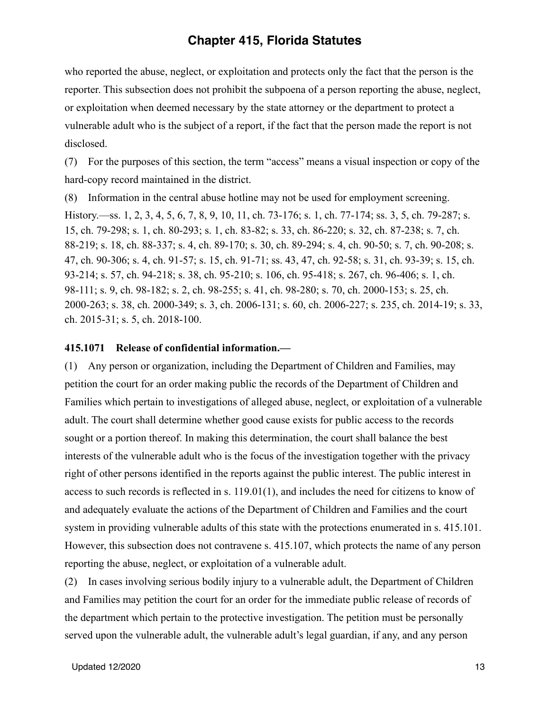who reported the abuse, neglect, or exploitation and protects only the fact that the person is the reporter. This subsection does not prohibit the subpoena of a person reporting the abuse, neglect, or exploitation when deemed necessary by the state attorney or the department to protect a vulnerable adult who is the subject of a report, if the fact that the person made the report is not disclosed.

(7) For the purposes of this section, the term "access" means a visual inspection or copy of the hard-copy record maintained in the district.

(8) Information in the central abuse hotline may not be used for employment screening.

History.—ss. 1, 2, 3, 4, 5, 6, 7, 8, 9, 10, 11, ch. 73-176; s. 1, ch. 77-174; ss. 3, 5, ch. 79-287; s. 15, ch. 79-298; s. 1, ch. 80-293; s. 1, ch. 83-82; s. 33, ch. 86-220; s. 32, ch. 87-238; s. 7, ch. 88-219; s. 18, ch. 88-337; s. 4, ch. 89-170; s. 30, ch. 89-294; s. 4, ch. 90-50; s. 7, ch. 90-208; s. 47, ch. 90-306; s. 4, ch. 91-57; s. 15, ch. 91-71; ss. 43, 47, ch. 92-58; s. 31, ch. 93-39; s. 15, ch. 93-214; s. 57, ch. 94-218; s. 38, ch. 95-210; s. 106, ch. 95-418; s. 267, ch. 96-406; s. 1, ch. 98-111; s. 9, ch. 98-182; s. 2, ch. 98-255; s. 41, ch. 98-280; s. 70, ch. 2000-153; s. 25, ch. 2000-263; s. 38, ch. 2000-349; s. 3, ch. 2006-131; s. 60, ch. 2006-227; s. 235, ch. 2014-19; s. 33, ch. 2015-31; s. 5, ch. 2018-100.

#### <span id="page-12-0"></span>**415.1071 Release of confidential information.—**

(1) Any person or organization, including the Department of Children and Families, may petition the court for an order making public the records of the Department of Children and Families which pertain to investigations of alleged abuse, neglect, or exploitation of a vulnerable adult. The court shall determine whether good cause exists for public access to the records sought or a portion thereof. In making this determination, the court shall balance the best interests of the vulnerable adult who is the focus of the investigation together with the privacy right of other persons identified in the reports against the public interest. The public interest in access to such records is reflected in s. [119.01\(](http://www.leg.state.fl.us/statutes/index.cfm?App_mode=Display_Statute&Search_String=&URL=0100-0199/0119/Sections/0119.01.html)1), and includes the need for citizens to know of and adequately evaluate the actions of the Department of Children and Families and the court system in providing vulnerable adults of this state with the protections enumerated in s. [415.101](http://www.leg.state.fl.us/statutes/index.cfm?App_mode=Display_Statute&Search_String=&URL=0400-0499/0415/Sections/0415.101.html). However, this subsection does not contravene s. [415.107](http://www.leg.state.fl.us/statutes/index.cfm?App_mode=Display_Statute&Search_String=&URL=0400-0499/0415/Sections/0415.107.html), which protects the name of any person reporting the abuse, neglect, or exploitation of a vulnerable adult.

(2) In cases involving serious bodily injury to a vulnerable adult, the Department of Children and Families may petition the court for an order for the immediate public release of records of the department which pertain to the protective investigation. The petition must be personally served upon the vulnerable adult, the vulnerable adult's legal guardian, if any, and any person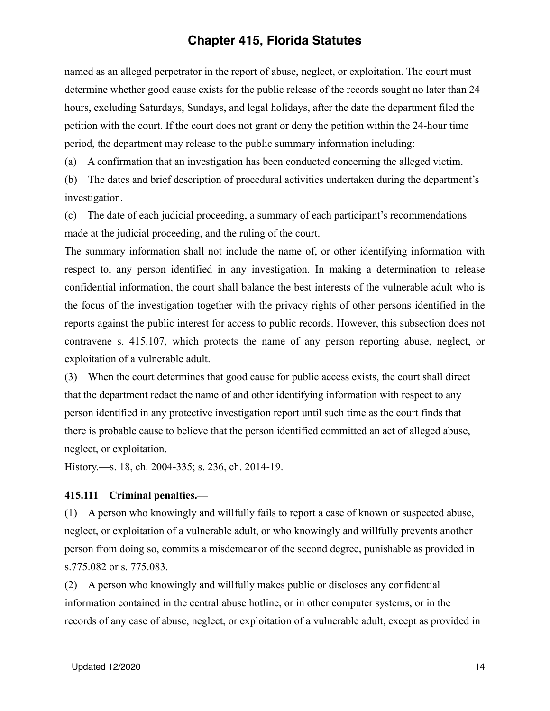named as an alleged perpetrator in the report of abuse, neglect, or exploitation. The court must determine whether good cause exists for the public release of the records sought no later than 24 hours, excluding Saturdays, Sundays, and legal holidays, after the date the department filed the petition with the court. If the court does not grant or deny the petition within the 24-hour time period, the department may release to the public summary information including:

(a) A confirmation that an investigation has been conducted concerning the alleged victim.

(b) The dates and brief description of procedural activities undertaken during the department's investigation.

(c) The date of each judicial proceeding, a summary of each participant's recommendations made at the judicial proceeding, and the ruling of the court.

The summary information shall not include the name of, or other identifying information with respect to, any person identified in any investigation. In making a determination to release confidential information, the court shall balance the best interests of the vulnerable adult who is the focus of the investigation together with the privacy rights of other persons identified in the reports against the public interest for access to public records. However, this subsection does not contravene s. [415.107](http://www.leg.state.fl.us/statutes/index.cfm?App_mode=Display_Statute&Search_String=&URL=0400-0499/0415/Sections/0415.107.html), which protects the name of any person reporting abuse, neglect, or exploitation of a vulnerable adult.

(3) When the court determines that good cause for public access exists, the court shall direct that the department redact the name of and other identifying information with respect to any person identified in any protective investigation report until such time as the court finds that there is probable cause to believe that the person identified committed an act of alleged abuse, neglect, or exploitation.

History.—s. 18, ch. 2004-335; s. 236, ch. 2014-19.

#### <span id="page-13-0"></span>**415.111 Criminal penalties.—**

(1) A person who knowingly and willfully fails to report a case of known or suspected abuse, neglect, or exploitation of a vulnerable adult, or who knowingly and willfully prevents another person from doing so, commits a misdemeanor of the second degree, punishable as provided in s.[775.082](http://www.leg.state.fl.us/statutes/index.cfm?App_mode=Display_Statute&Search_String=&URL=0700-0799/0775/Sections/0775.082.html) or s. [775.083](http://www.leg.state.fl.us/statutes/index.cfm?App_mode=Display_Statute&Search_String=&URL=0700-0799/0775/Sections/0775.083.html).

(2) A person who knowingly and willfully makes public or discloses any confidential information contained in the central abuse hotline, or in other computer systems, or in the records of any case of abuse, neglect, or exploitation of a vulnerable adult, except as provided in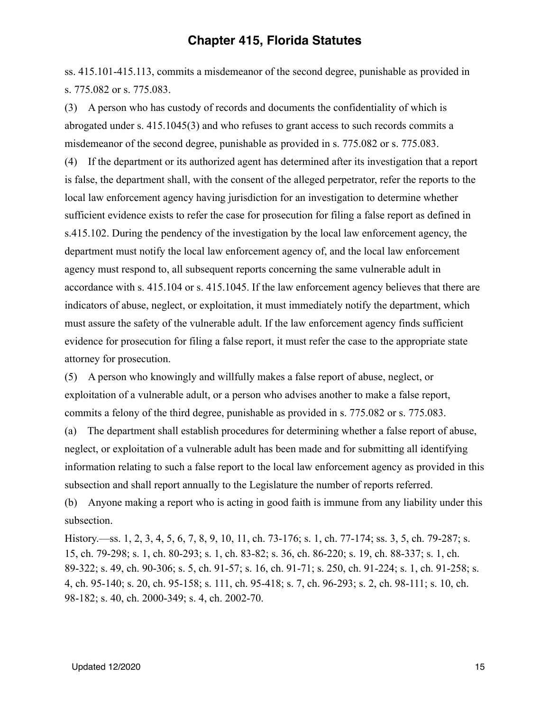ss. [415.101](http://www.leg.state.fl.us/statutes/index.cfm?App_mode=Display_Statute&Search_String=&URL=0400-0499/0415/Sections/0415.101.html)[-415.113,](http://www.leg.state.fl.us/statutes/index.cfm?App_mode=Display_Statute&Search_String=&URL=0400-0499/0415/Sections/0415.113.html) commits a misdemeanor of the second degree, punishable as provided in s. [775.082](http://www.leg.state.fl.us/statutes/index.cfm?App_mode=Display_Statute&Search_String=&URL=0700-0799/0775/Sections/0775.082.html) or s. [775.083](http://www.leg.state.fl.us/statutes/index.cfm?App_mode=Display_Statute&Search_String=&URL=0700-0799/0775/Sections/0775.083.html).

(3) A person who has custody of records and documents the confidentiality of which is abrogated under s. [415.1045](http://www.leg.state.fl.us/statutes/index.cfm?App_mode=Display_Statute&Search_String=&URL=0400-0499/0415/Sections/0415.1045.html)(3) and who refuses to grant access to such records commits a misdemeanor of the second degree, punishable as provided in s. [775.082](http://www.leg.state.fl.us/statutes/index.cfm?App_mode=Display_Statute&Search_String=&URL=0700-0799/0775/Sections/0775.082.html) or s. [775.083.](http://www.leg.state.fl.us/statutes/index.cfm?App_mode=Display_Statute&Search_String=&URL=0700-0799/0775/Sections/0775.083.html) (4) If the department or its authorized agent has determined after its investigation that a report is false, the department shall, with the consent of the alleged perpetrator, refer the reports to the local law enforcement agency having jurisdiction for an investigation to determine whether sufficient evidence exists to refer the case for prosecution for filing a false report as defined in s.[415.102.](http://www.leg.state.fl.us/statutes/index.cfm?App_mode=Display_Statute&Search_String=&URL=0400-0499/0415/Sections/0415.102.html) During the pendency of the investigation by the local law enforcement agency, the department must notify the local law enforcement agency of, and the local law enforcement agency must respond to, all subsequent reports concerning the same vulnerable adult in accordance with s. [415.104](http://www.leg.state.fl.us/statutes/index.cfm?App_mode=Display_Statute&Search_String=&URL=0400-0499/0415/Sections/0415.104.html) or s. [415.1045.](http://www.leg.state.fl.us/statutes/index.cfm?App_mode=Display_Statute&Search_String=&URL=0400-0499/0415/Sections/0415.1045.html) If the law enforcement agency believes that there are indicators of abuse, neglect, or exploitation, it must immediately notify the department, which must assure the safety of the vulnerable adult. If the law enforcement agency finds sufficient evidence for prosecution for filing a false report, it must refer the case to the appropriate state attorney for prosecution.

(5) A person who knowingly and willfully makes a false report of abuse, neglect, or exploitation of a vulnerable adult, or a person who advises another to make a false report, commits a felony of the third degree, punishable as provided in s. [775.082](http://www.leg.state.fl.us/statutes/index.cfm?App_mode=Display_Statute&Search_String=&URL=0700-0799/0775/Sections/0775.082.html) or s. [775.083.](http://www.leg.state.fl.us/statutes/index.cfm?App_mode=Display_Statute&Search_String=&URL=0700-0799/0775/Sections/0775.083.html)

(a) The department shall establish procedures for determining whether a false report of abuse, neglect, or exploitation of a vulnerable adult has been made and for submitting all identifying information relating to such a false report to the local law enforcement agency as provided in this subsection and shall report annually to the Legislature the number of reports referred.

(b) Anyone making a report who is acting in good faith is immune from any liability under this subsection.

History.—ss. 1, 2, 3, 4, 5, 6, 7, 8, 9, 10, 11, ch. 73-176; s. 1, ch. 77-174; ss. 3, 5, ch. 79-287; s. 15, ch. 79-298; s. 1, ch. 80-293; s. 1, ch. 83-82; s. 36, ch. 86-220; s. 19, ch. 88-337; s. 1, ch. 89-322; s. 49, ch. 90-306; s. 5, ch. 91-57; s. 16, ch. 91-71; s. 250, ch. 91-224; s. 1, ch. 91-258; s. 4, ch. 95-140; s. 20, ch. 95-158; s. 111, ch. 95-418; s. 7, ch. 96-293; s. 2, ch. 98-111; s. 10, ch. 98-182; s. 40, ch. 2000-349; s. 4, ch. 2002-70.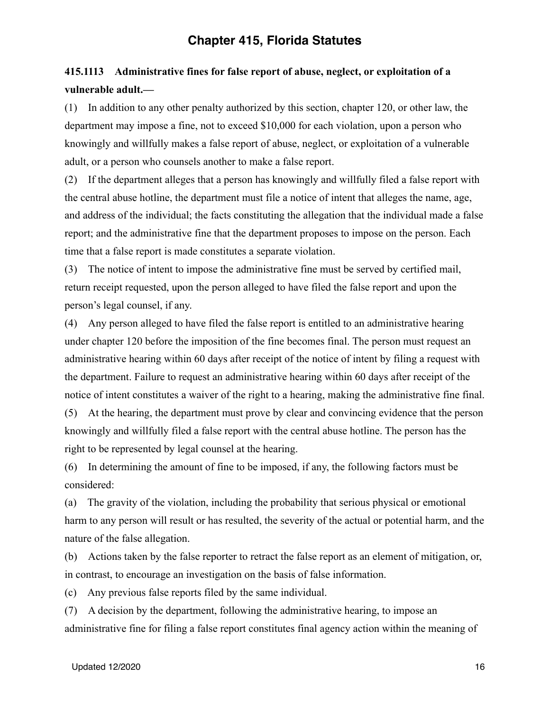# <span id="page-15-0"></span>**415.1113 Administrative fines for false report of abuse, neglect, or exploitation of a vulnerable adult.—**

(1) In addition to any other penalty authorized by this section, chapter 120, or other law, the department may impose a fine, not to exceed \$10,000 for each violation, upon a person who knowingly and willfully makes a false report of abuse, neglect, or exploitation of a vulnerable adult, or a person who counsels another to make a false report.

(2) If the department alleges that a person has knowingly and willfully filed a false report with the central abuse hotline, the department must file a notice of intent that alleges the name, age, and address of the individual; the facts constituting the allegation that the individual made a false report; and the administrative fine that the department proposes to impose on the person. Each time that a false report is made constitutes a separate violation.

(3) The notice of intent to impose the administrative fine must be served by certified mail, return receipt requested, upon the person alleged to have filed the false report and upon the person's legal counsel, if any.

(4) Any person alleged to have filed the false report is entitled to an administrative hearing under chapter 120 before the imposition of the fine becomes final. The person must request an administrative hearing within 60 days after receipt of the notice of intent by filing a request with the department. Failure to request an administrative hearing within 60 days after receipt of the notice of intent constitutes a waiver of the right to a hearing, making the administrative fine final.

(5) At the hearing, the department must prove by clear and convincing evidence that the person knowingly and willfully filed a false report with the central abuse hotline. The person has the right to be represented by legal counsel at the hearing.

(6) In determining the amount of fine to be imposed, if any, the following factors must be considered:

(a) The gravity of the violation, including the probability that serious physical or emotional harm to any person will result or has resulted, the severity of the actual or potential harm, and the nature of the false allegation.

(b) Actions taken by the false reporter to retract the false report as an element of mitigation, or, in contrast, to encourage an investigation on the basis of false information.

(c) Any previous false reports filed by the same individual.

(7) A decision by the department, following the administrative hearing, to impose an administrative fine for filing a false report constitutes final agency action within the meaning of